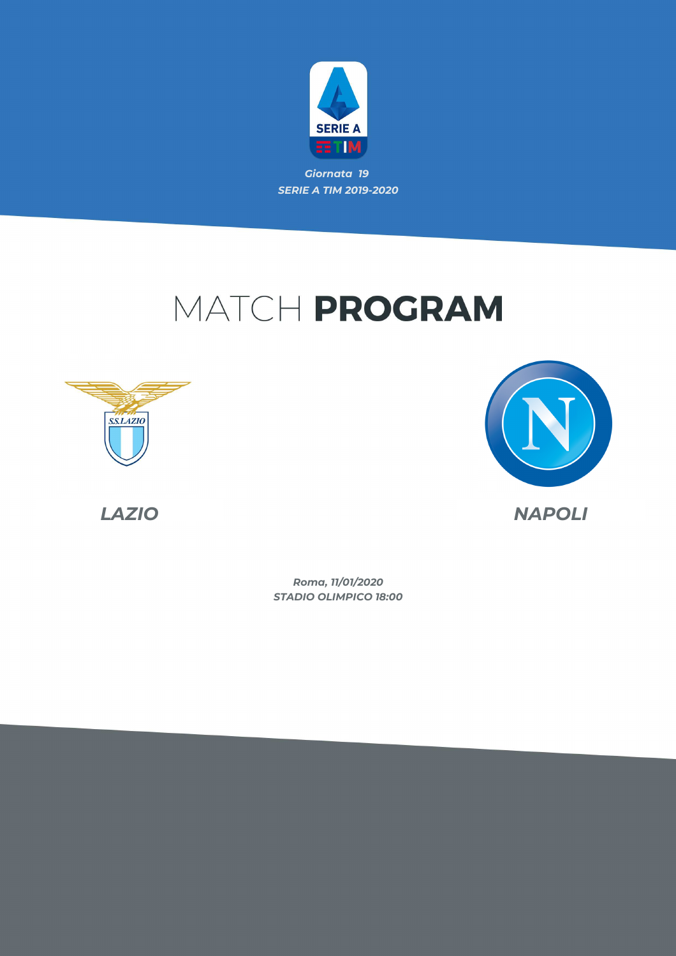

*Giornata 19 SERIE A TIM 2019-2020*

# MATCH PROGRAM







*LAZIO NAPOLI*

*STADIO OLIMPICO 18:00 Roma, 11/01/2020*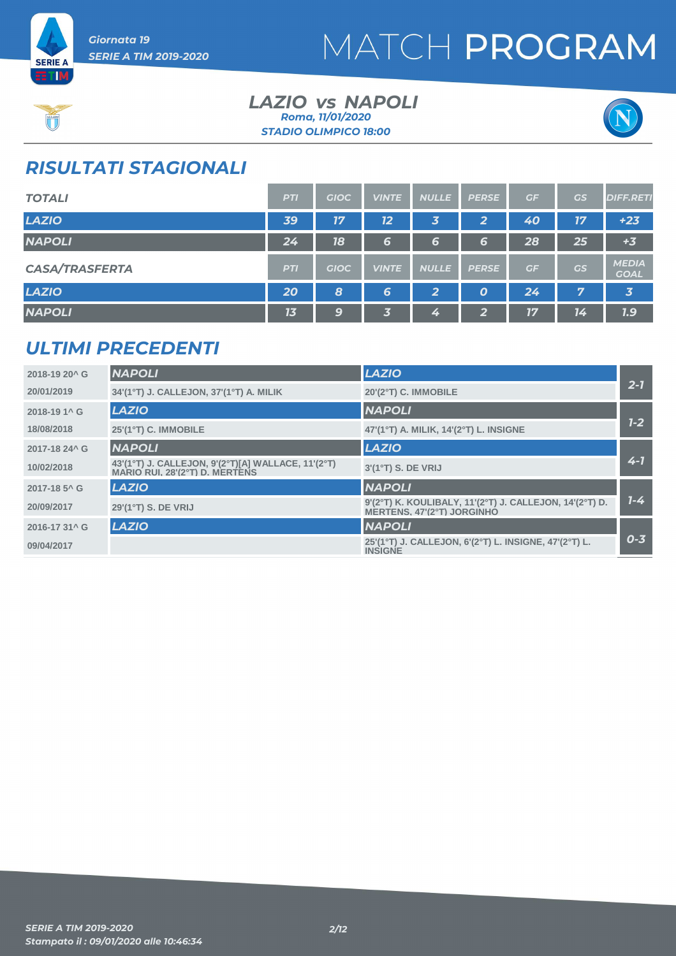



#### *LAZIO NAPOLI vs STADIO OLIMPICO 18:00 Roma, 11/01/2020*



### *RISULTATI STAGIONALI*

| <b>TOTALI</b>         | <b>PTI</b> | <b>GIOC</b> | <b>VINTE</b> | <b>NULLE</b>   | <b>PERSE</b> | GF | GS | <b>DIFF.RETI</b>            |
|-----------------------|------------|-------------|--------------|----------------|--------------|----|----|-----------------------------|
| <b>LAZIO</b>          | 39         | 17          | 12           | 3              | 2            | 40 | 17 | $+23$                       |
| <b>NAPOLI</b>         | 24         | 18          | 6            | 6              | 6            | 28 | 25 | $+3$                        |
| <b>CASA/TRASFERTA</b> | <b>PTI</b> | <b>GIOC</b> | <b>VINTE</b> | <b>NULLE</b>   | <b>PERSE</b> | GF | GS | <b>MEDIA</b><br><b>GOAL</b> |
| <b>LAZIO</b>          | 20         | 8           | 6            | $\overline{2}$ | O            | 24 | 7  | $\overline{\mathbf{3}}$     |
| <b>NAPOLI</b>         | 13         | 9           | 3            | 4              | G            | 17 | 14 | 1.9                         |

### *ULTIMI PRECEDENTI*

| 2018-19 20^ G            | <b>NAPOLI</b>                                                                        | <b>LAZIO</b>                                                                          |         |
|--------------------------|--------------------------------------------------------------------------------------|---------------------------------------------------------------------------------------|---------|
| 20/01/2019               | 34'(1°T) J. CALLEJON, 37'(1°T) A. MILIK                                              | 20'(2°T) C. IMMOBILE                                                                  | $2 - 7$ |
| 2018-19 1^ G             | <b>LAZIO</b>                                                                         | <b>NAPOLI</b>                                                                         |         |
| 18/08/2018               | 25'(1°T) C. IMMOBILE                                                                 | 47'(1°T) A. MILIK, 14'(2°T) L. INSIGNE                                                | $1 - 2$ |
| 2017-18 24^ G            | <b>NAPOLI</b>                                                                        | <b>LAZIO</b>                                                                          |         |
| 10/02/2018               | 43'(1°T) J. CALLEJON, 9'(2°T)[A] WALLACE, 11'(2°T)<br>MARIO RUI, 28'(2°T) D. MERTENS | $3'(1oT)$ S. DE VRIJ                                                                  | $4 - 7$ |
| 2017-18 5 <sup>^</sup> G | <b>LAZIO</b>                                                                         | <b>NAPOLI</b>                                                                         |         |
| 20/09/2017               | 29'(1°T) S. DE VRIJ                                                                  | 9'(2°T) K. KOULIBALY, 11'(2°T) J. CALLEJON, 14'(2°T) D.<br>MERTENS. 47'(2°T) JORGINHO | $7 - 4$ |
| 2016-17 31^ G            | <b>LAZIO</b>                                                                         | <b>NAPOLI</b>                                                                         |         |
| 09/04/2017               |                                                                                      | 25'(1°T) J. CALLEJON, 6'(2°T) L. INSIGNE, 47'(2°T) L.<br><b>INSIGNE</b>               | $0 - 3$ |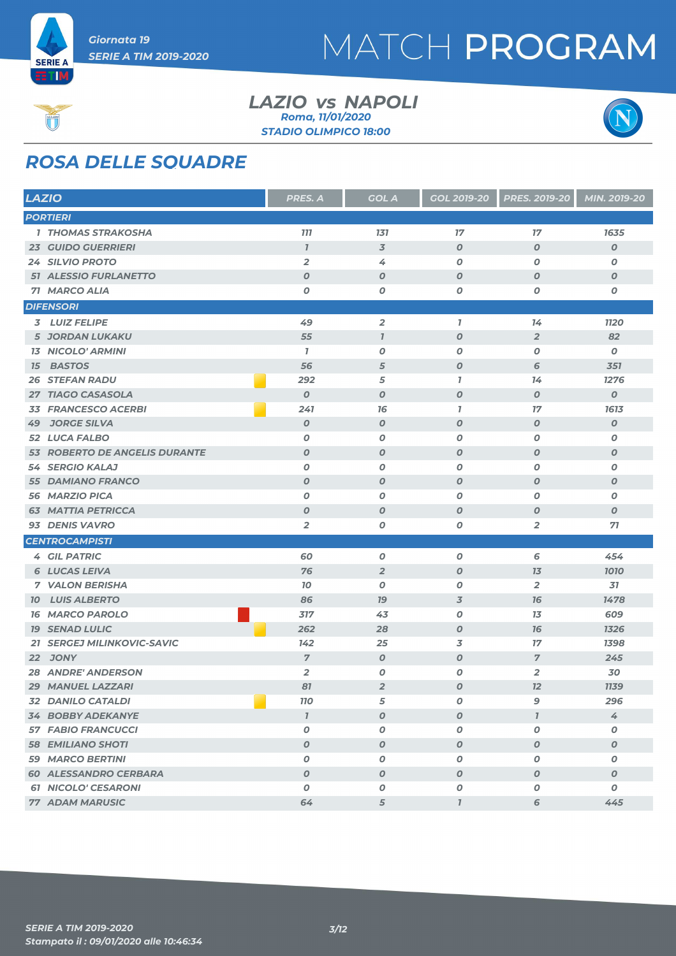

#### *LAZIO NAPOLI vs STADIO OLIMPICO 18:00 Roma, 11/01/2020*



### *ROSA DELLE SQUADRE*

| <b>LAZIO</b> |                               | <b>PRES. A</b>   | <b>GOL A</b>        | GOL 2019-20      | <b>PRES. 2019-20</b>    | MIN. 2019-20     |
|--------------|-------------------------------|------------------|---------------------|------------------|-------------------------|------------------|
|              | <b>PORTIERI</b>               |                  |                     |                  |                         |                  |
|              | 1 THOMAS STRAKOSHA            | <b>777</b>       | 131                 | 17               | 17                      | 1635             |
|              | <b>23 GUIDO GUERRIERI</b>     | $\overline{1}$   | $\overline{3}$      | $\boldsymbol{O}$ | $\boldsymbol{O}$        | 0                |
|              | 24 SILVIO PROTO               | $\overline{2}$   | 4                   | $\boldsymbol{o}$ | $\boldsymbol{O}$        | Ο                |
|              | <b>51 ALESSIO FURLANETTO</b>  | $\boldsymbol{O}$ | $\boldsymbol{0}$    | $\boldsymbol{O}$ | $\boldsymbol{O}$        | 0                |
|              | 71 MARCO ALIA                 | $\pmb{o}$        | 0                   | $\pmb{o}$        | 0                       | O                |
|              | <b>DIFENSORI</b>              |                  |                     |                  |                         |                  |
|              | 3 LUIZ FELIPE                 | 49               | $\overline{2}$      | $\mathbf{7}$     | 14                      | <b>1120</b>      |
|              | <b>5 JORDAN LUKAKU</b>        | 55               | $\boldsymbol{\eta}$ | $\boldsymbol{o}$ | $\overline{2}$          | 82               |
|              | <b>13 NICOLO' ARMINI</b>      | $\mathbf{7}$     | $\boldsymbol{0}$    | 0                | 0                       | 0                |
|              | <b>15 BASTOS</b>              | 56               | 5                   | $\boldsymbol{O}$ | 6                       | 351              |
|              | <b>26 STEFAN RADU</b>         | 292              | 5                   | $\overline{I}$   | 14                      | 1276             |
|              | 27 TIAGO CASASOLA             | $\boldsymbol{0}$ | $\boldsymbol{0}$    | $\boldsymbol{O}$ | $\boldsymbol{O}$        | $\boldsymbol{o}$ |
|              | <b>33 FRANCESCO ACERBI</b>    | 241              | 76                  | $\overline{I}$   | 17                      | 1613             |
| 49           | <b>JORGE SILVA</b>            | $\boldsymbol{O}$ | $\boldsymbol{O}$    | $\boldsymbol{O}$ | $\boldsymbol{O}$        | $\boldsymbol{o}$ |
|              | 52 LUCA FALBO                 | $\boldsymbol{0}$ | $\boldsymbol{0}$    | $\boldsymbol{o}$ | 0                       | 0                |
|              | 53 ROBERTO DE ANGELIS DURANTE | $\boldsymbol{O}$ | $\boldsymbol{0}$    | $\boldsymbol{O}$ | $\boldsymbol{O}$        | O                |
|              | 54 SERGIO KALAJ               | 0                | $\boldsymbol{0}$    | 0                | 0                       | 0                |
|              | <b>55 DAMIANO FRANCO</b>      | $\boldsymbol{O}$ | $\boldsymbol{0}$    | $\boldsymbol{O}$ | $\boldsymbol{O}$        | $\boldsymbol{o}$ |
|              | 56 MARZIO PICA                | $\boldsymbol{O}$ | $\boldsymbol{0}$    | $\boldsymbol{O}$ | $\boldsymbol{O}$        | 0                |
|              | <b>63 MATTIA PETRICCA</b>     | $\boldsymbol{O}$ | $\boldsymbol{0}$    | $\boldsymbol{o}$ | $\boldsymbol{O}$        | $\boldsymbol{o}$ |
|              | 93 DENIS VAVRO                | $\overline{2}$   | 0                   | 0                | $\overline{2}$          | 71               |
|              | <b>CENTROCAMPISTI</b>         |                  |                     |                  |                         |                  |
|              | <b>4 GIL PATRIC</b>           | 60               | $\pmb{o}$           | $\pmb{o}$        | 6                       | 454              |
|              | <b>6 LUCAS LEIVA</b>          | 76               | $\overline{2}$      | $\boldsymbol{O}$ | 13                      | 1010             |
|              | <b>7 VALON BERISHA</b>        | 10               | $\boldsymbol{0}$    | O                | $\overline{\mathbf{2}}$ | 31               |
|              | <b>10 LUIS ALBERTO</b>        | 86               | 79                  | $\overline{3}$   | 76                      | 1478             |
|              | <b>16 MARCO PAROLO</b>        | 317              | 43                  | $\boldsymbol{o}$ | 13                      | 609              |
|              | <b>19 SENAD LULIC</b>         | 262              | 28                  | $\boldsymbol{o}$ | 76                      | 1326             |
|              | 21 SERGEJ MILINKOVIC-SAVIC    | 142              | 25                  | 3                | 17                      | 1398             |
|              | <b>22 JONY</b>                | $\overline{7}$   | $\boldsymbol{0}$    | $\boldsymbol{o}$ | $\overline{7}$          | 245              |
|              | <b>28 ANDRE' ANDERSON</b>     | $\overline{2}$   | 0                   | 0                | $\overline{\mathbf{2}}$ | 30               |
|              | 29 MANUEL LAZZARI             | 81               | $\overline{2}$      | $\boldsymbol{O}$ | 12                      | <b>1139</b>      |
|              | 32 DANILO CATALDI             | <b>110</b>       | 5                   | O                | 9                       | 296              |
|              | <b>34 BOBBY ADEKANYE</b>      | $\overline{1}$   | $\boldsymbol{0}$    | $\boldsymbol{o}$ | $\overline{1}$          | 4                |
|              | <b>57 FABIO FRANCUCCI</b>     | $\pmb{o}$        | $\pmb{o}$           | 0                | $\boldsymbol{O}$        | O                |
|              | <b>58 EMILIANO SHOTI</b>      | $\boldsymbol{0}$ | $\boldsymbol{0}$    | $\boldsymbol{0}$ | $\boldsymbol{0}$        | 0                |
|              | <b>59 MARCO BERTINI</b>       | 0                | 0                   | 0                | 0                       | 0                |
|              | <b>60 ALESSANDRO CERBARA</b>  | $\boldsymbol{O}$ | $\boldsymbol{0}$    | $\boldsymbol{O}$ | $\boldsymbol{O}$        | $\boldsymbol{o}$ |
|              | <b>61 NICOLO' CESARONI</b>    | 0                | $\pmb{o}$           | $\pmb{o}$        | 0                       | O                |
|              | <b>77 ADAM MARUSIC</b>        | 64               | 5                   | $\mathbf{I}$     | 6                       | 445              |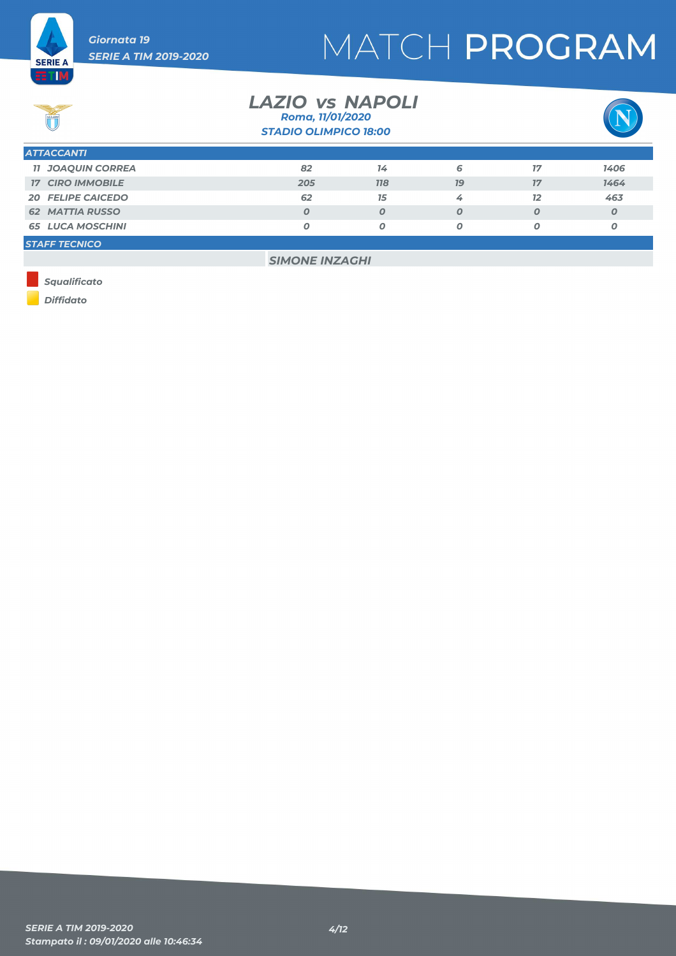

# ET M

**SERIE A** 



| <b>STADIO OLIMPICO 18:00</b> |     |                  |    |                  |                  |  |
|------------------------------|-----|------------------|----|------------------|------------------|--|
| <b>ATTACCANTI</b>            |     |                  |    |                  |                  |  |
| <b>11 JOAQUIN CORREA</b>     | 82  | 14               | 6  | 17               | 1406             |  |
| <b>17 CIRO IMMOBILE</b>      | 205 | <b>118</b>       | 79 | 17               | 1464             |  |
| <b>20 FELIPE CAICEDO</b>     | 62  | 15               | 4  | 12               | 463              |  |
| <b>62 MATTIA RUSSO</b>       |     | $\boldsymbol{O}$ | 0  | $\boldsymbol{0}$ | $\boldsymbol{0}$ |  |
| <b>65 LUCA MOSCHINI</b>      |     | Ο                | Ο  | 0                | O                |  |
| <b>STAFF TECNICO</b>         |     |                  |    |                  |                  |  |

*LAZIO NAPOLI vs*

*Roma, 11/01/2020*

*SIMONE INZAGHI*

*Squalificato*

*Diffidato*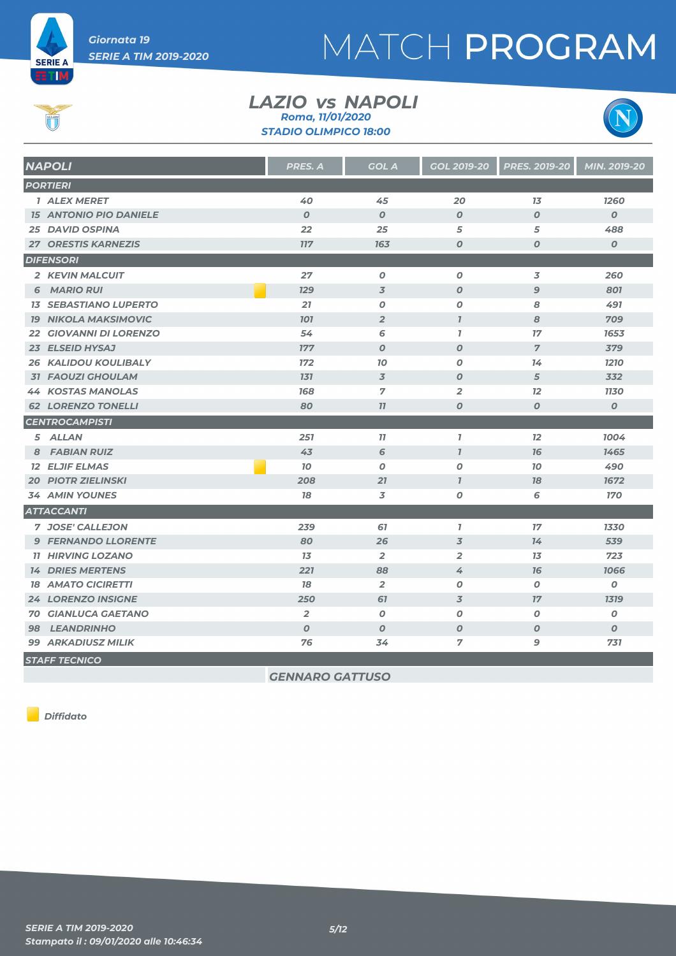

# Ú

**ET M** 



| <b>NAPOLI</b>                 | PRES. A          | <b>GOL A</b>     | <b>GOL 2019-20</b> | <b>PRES. 2019-20</b> | MIN. 2019-20     |
|-------------------------------|------------------|------------------|--------------------|----------------------|------------------|
| <b>PORTIERI</b>               |                  |                  |                    |                      |                  |
| 1 ALEX MERET                  | 40               | 45               | 20                 | 13                   | 1260             |
| <b>15 ANTONIO PIO DANIELE</b> | $\boldsymbol{0}$ | $\boldsymbol{0}$ | $\boldsymbol{0}$   | $\boldsymbol{O}$     | $\overline{O}$   |
| <b>25 DAVID OSPINA</b>        | 22               | 25               | 5                  | 5                    | 488              |
| <b>27 ORESTIS KARNEZIS</b>    | <b>117</b>       | 163              | $\boldsymbol{O}$   | $\boldsymbol{O}$     | $\boldsymbol{0}$ |
| <b>DIFENSORI</b>              |                  |                  |                    |                      |                  |
| 2 KEVIN MALCUIT               | 27               | $\boldsymbol{O}$ | $\boldsymbol{O}$   | 3                    | 260              |
| 6 MARIO RUI                   | <b>129</b>       | 3                | $\boldsymbol{0}$   | $\mathbf{9}$         | 801              |
| <b>13 SEBASTIANO LUPERTO</b>  | 21               | 0                | 0                  | 8                    | 491              |
| <b>19 NIKOLA MAKSIMOVIC</b>   | <b>101</b>       | $\overline{2}$   | $\mathbf{I}$       | 8                    | 709              |
| <b>22 GIOVANNI DI LORENZO</b> | 54               | 6                | $\mathbf{I}$       | 17                   | 1653             |
| 23 ELSEID HYSAJ               | 177              | $\boldsymbol{O}$ | $\boldsymbol{O}$   | $\overline{7}$       | 379              |
| <b>26 KALIDOU KOULIBALY</b>   | 172              | 10               | 0                  | 14                   | 1210             |
| <b>31 FAOUZI GHOULAM</b>      | <b>131</b>       | 3                | $\boldsymbol{O}$   | 5                    | 332              |
| <b>44 KOSTAS MANOLAS</b>      | 168              | $\overline{7}$   | 2                  | 12                   | <b>1130</b>      |
| <b>62 LORENZO TONELLI</b>     | 80               | 77               | $\boldsymbol{O}$   | $\boldsymbol{O}$     | $\boldsymbol{0}$ |
| <b>CENTROCAMPISTI</b>         |                  |                  |                    |                      |                  |
| 5 ALLAN                       | 251              | 77               | $\mathbf{I}$       | 12                   | 1004             |
| 8 FABIAN RUIZ                 | 43               | 6                | $\mathbf{I}$       | 76                   | 1465             |
| <b>12 ELJIF ELMAS</b>         | 10               | 0                | 0                  | 10                   | 490              |
| <b>20 PIOTR ZIELINSKI</b>     | 208              | 21               | $\overline{I}$     | 78                   | 1672             |
| <b>34 AMIN YOUNES</b>         | 78               | 3                | 0                  | 6                    | <b>170</b>       |
| <b>ATTACCANTI</b>             |                  |                  |                    |                      |                  |
| 7 JOSE' CALLEJON              | 239              | 67               | $\overline{1}$     | 17                   | 1330             |
| <b>9 FERNANDO LLORENTE</b>    | 80               | 26               | 3                  | 74                   | 539              |
| <b>11 HIRVING LOZANO</b>      | 13               | $\overline{2}$   | $\overline{2}$     | 13                   | 723              |
| <b>14 DRIES MERTENS</b>       | 221              | 88               | 4                  | <b>16</b>            | 1066             |
| <b>18 AMATO CICIRETTI</b>     | 78               | $\overline{2}$   | 0                  | 0                    | 0                |
| <b>24 LORENZO INSIGNE</b>     | 250              | 67               | 3                  | 17                   | <b>1319</b>      |
| <b>70 GIANLUCA GAETANO</b>    | $\overline{2}$   | $\boldsymbol{o}$ | 0                  | 0                    | 0                |
| <b>98 LEANDRINHO</b>          | $\boldsymbol{O}$ | $\boldsymbol{0}$ | $\boldsymbol{O}$   | $\boldsymbol{0}$     | $\boldsymbol{O}$ |
| <b>99 ARKADIUSZ MILIK</b>     | 76               | 34               | 7                  | 9                    | 731              |
| <b>STAFF TECNICO</b>          |                  |                  |                    |                      |                  |

*LAZIO NAPOLI vs*

*STADIO OLIMPICO 18:00 Roma, 11/01/2020*

*GENNARO GATTUSO*

*Diffidato*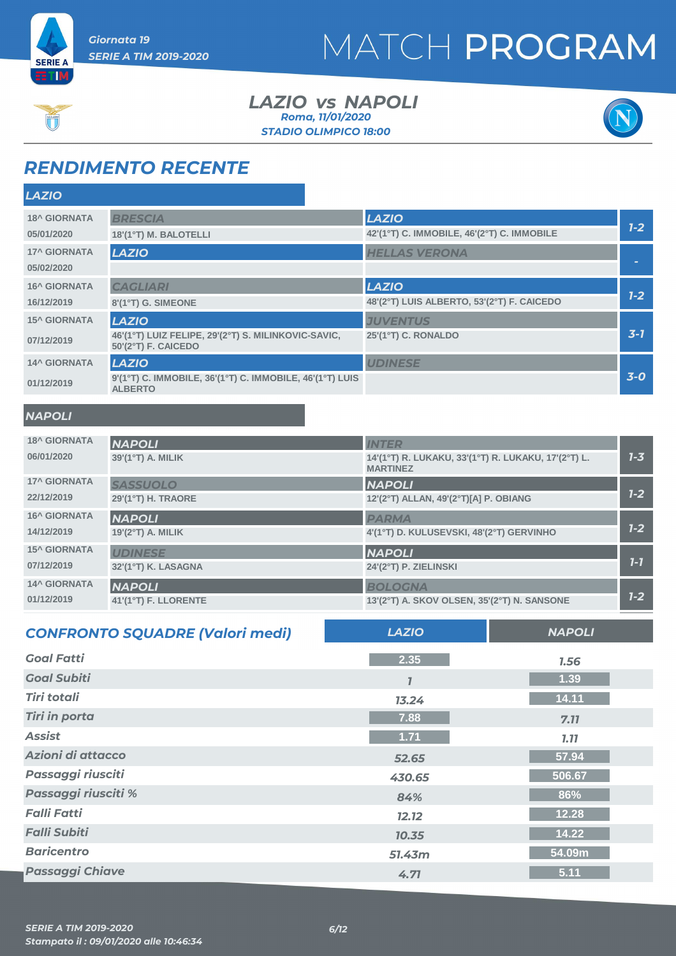



#### *LAZIO NAPOLI vs STADIO OLIMPICO 18:00 Roma, 11/01/2020*



### *RENDIMENTO RECENTE*

| <b>LAZIO</b>        |                                                                            |                                                                        |         |
|---------------------|----------------------------------------------------------------------------|------------------------------------------------------------------------|---------|
| <b>18^ GIORNATA</b> | <b>BRESCIA</b>                                                             | <b>LAZIO</b>                                                           |         |
| 05/01/2020          | 18'(1°T) M. BALOTELLI                                                      | 42'(1°T) C. IMMOBILE, 46'(2°T) C. IMMOBILE                             | $1-2$   |
| <b>17^ GIORNATA</b> | <b>LAZIO</b>                                                               | <b>HELLAS VERONA</b>                                                   |         |
| 05/02/2020          |                                                                            |                                                                        |         |
| <b>16^ GIORNATA</b> | <b>CAGLIARI</b>                                                            | <b>LAZIO</b>                                                           |         |
| 16/12/2019          | 8'(1°T) G. SIMEONE                                                         | 48'(2°T) LUIS ALBERTO, 53'(2°T) F. CAICEDO                             | $1-2$   |
| <b>15^ GIORNATA</b> | <b>LAZIO</b>                                                               | <b>JUVENTUS</b>                                                        |         |
| 07/12/2019          | 46'(1°T) LUIZ FELIPE, 29'(2°T) S. MILINKOVIC-SAVIC,<br>50'(2°T) F. CAICEDO | 25'(1°T) C. RONALDO                                                    | $3-7$   |
| <b>14^ GIORNATA</b> | <b>LAZIO</b>                                                               | <b>UDINESE</b>                                                         |         |
| 01/12/2019          | 9'(1°T) C. IMMOBILE, 36'(1°T) C. IMMOBILE, 46'(1°T) LUIS<br><b>ALBERTO</b> |                                                                        | $3-0$   |
| <b>NAPOLI</b>       |                                                                            |                                                                        |         |
| <b>18^ GIORNATA</b> | <b>NAPOLI</b>                                                              | <b>INTER</b>                                                           |         |
| 06/01/2020          | 39'(1°T) A. MILIK                                                          | 14'(1°T) R. LUKAKU, 33'(1°T) R. LUKAKU, 17'(2°T) L.<br><b>MARTINEZ</b> | $1 - 3$ |
| <b>17^ GIORNATA</b> | <b>CACCULOLO</b>                                                           | $\frac{1}{2}$                                                          |         |

| <b>17^ GIORNATA</b> | <b>SASSUOLO</b>     | <b>NAPOLI</b>                            |         |
|---------------------|---------------------|------------------------------------------|---------|
| 22/12/2019          | 29'(1°T) H. TRAORE  | 12'(2°T) ALLAN, 49'(2°T)[A] P. OBIANG    | $1 - 2$ |
| <b>16^ GIORNATA</b> | <b>NAPOLI</b>       | <b>PARMA</b>                             |         |
| 14/12/2019          | $19'(2°T)$ A. MILIK | 4'(1°T) D. KULUSEVSKI, 48'(2°T) GERVINHO | $1 - 2$ |
| <b>15^ GIORNATA</b> | <b>UDINESE</b>      | <b>NAPOLI</b>                            |         |
| 07/12/2019          | 32'(1°T) K. LASAGNA | 24'(2°T) P. ZIELINSKI                    | $7 - 7$ |
| <b>14^ GIORNATA</b> | <b>NAPOLI</b>       | <b>BOLOGNA</b>                           |         |
| 01/12/2019          |                     |                                          | $1 - 2$ |

| <b>CONFRONTO SQUADRE (Valori medi)</b> | <b>LAZIO</b> | <b>NAPOLI</b> |
|----------------------------------------|--------------|---------------|
| <b>Goal Fatti</b>                      | 2.35         | 1.56          |
| <b>Goal Subiti</b>                     |              | 1.39          |
| <b>Tiri totali</b>                     | 13.24        | 14.11         |
| <b>Tiri in porta</b>                   | 7.88         | 7.11          |
| <b>Assist</b>                          | 1.71         | <b>7.77</b>   |
| Azioni di attacco                      | 52.65        | 57.94         |
| Passaggi riusciti                      | 430.65       | 506.67        |
| Passaggi riusciti %                    | 84%          | 86%           |
| <b>Falli Fatti</b>                     | 12.12        | 12.28         |
| <b>Falli Subiti</b>                    | 10.35        | 14.22         |
| <b>Baricentro</b>                      | 51.43m       | 54.09m        |
| <b>Passaggi Chiave</b>                 | 4.71         | 5.11          |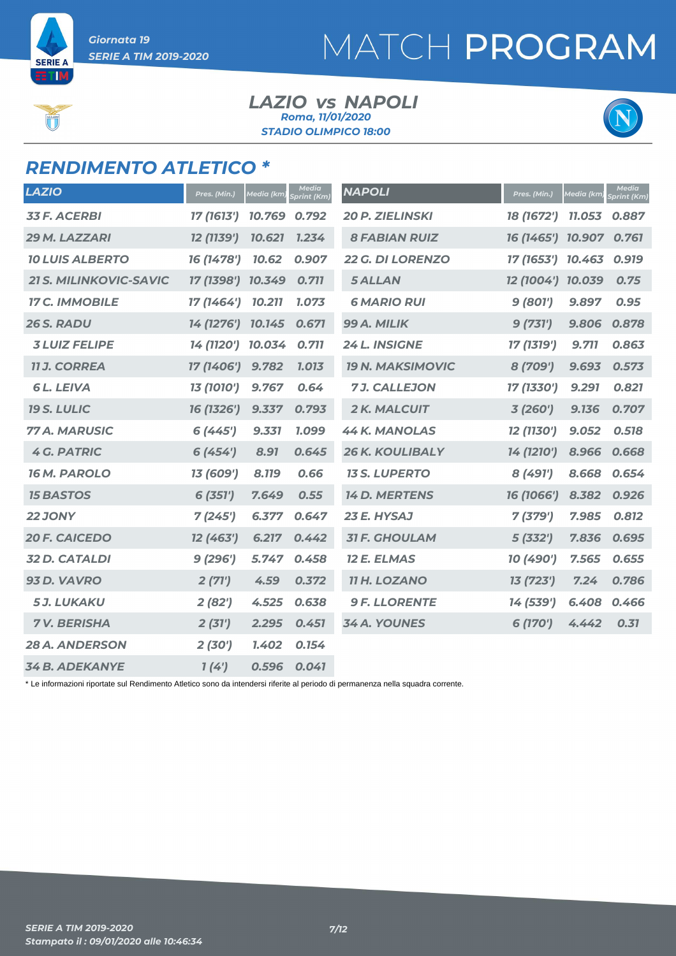**SERIE A** ETIM

# MATCH PROGRAM

#### *LAZIO NAPOLI vs STADIO OLIMPICO 18:00 Roma, 11/01/2020*



### *RENDIMENTO ATLETICO \**

| <b>LAZIO</b>                  | Pres. (Min.)      | Media (km, | <b>Media</b><br>Sprint (Km) | <b>NAPOLI</b>           | Pres. (Min.)      | Media (km | <b>Media</b><br>Sprint (Km) |
|-------------------------------|-------------------|------------|-----------------------------|-------------------------|-------------------|-----------|-----------------------------|
| <b>33 F. ACERBI</b>           | 17 (1613')        | 10.769     | 0.792                       | <b>20 P. ZIELINSKI</b>  | 18 (1672')        | 11.053    | 0.887                       |
| 29 M. LAZZARI                 | 12 (1139')        | 10.621     | 1.234                       | <b>8 FABIAN RUIZ</b>    | 16 (1465')        | 10.907    | 0.761                       |
| <b>10 LUIS ALBERTO</b>        | 16 (1478')        | 10.62      | 0.907                       | <b>22 G. DI LORENZO</b> | 17 (1653')        | 10.463    | 0.919                       |
| <b>21 S. MILINKOVIC-SAVIC</b> | 17 (1398') 10.349 |            | 0.711                       | <b>5 ALLAN</b>          | 12 (1004') 10.039 |           | 0.75                        |
| <b>17 C. IMMOBILE</b>         | 17 (1464')        | 10.211     | 1.073                       | <b>6 MARIO RUI</b>      | 9(801')           | 9.897     | 0.95                        |
| 26 S. RADU                    | 14 (1276') 10.145 |            | 0.671                       | 99 A. MILIK             | 9(731')           | 9.806     | 0.878                       |
| <b>3 LUIZ FELIPE</b>          | 14 (1120')        | 10.034     | 0.711                       | <b>24 L. INSIGNE</b>    | 17 (1319')        | 9.711     | 0.863                       |
| <b>11 J. CORREA</b>           | 17 (1406')        | 9.782      | 1.013                       | <b>19 N. MAKSIMOVIC</b> | 8 (709')          | 9.693     | 0.573                       |
| <b>6L. LEIVA</b>              | 13 (1010')        | 9.767      | 0.64                        | <b>7J. CALLEJON</b>     | 17 (1330')        | 9.291     | 0.821                       |
| <b>19 S. LULIC</b>            | 16 (1326')        | 9.337      | 0.793                       | 2 K. MALCUIT            | 3(260')           | 9.136     | 0.707                       |
| 77 A. MARUSIC                 | 6(445)            | 9.331      | 1.099                       | <b>44 K. MANOLAS</b>    | 12 (1130')        | 9.052     | 0.518                       |
| <b>4 G. PATRIC</b>            | 6(454)            | 8.91       | 0.645                       | <b>26 K. KOULIBALY</b>  | 14 (1210')        | 8.966     | 0.668                       |
| <b>16 M. PAROLO</b>           | 13 (609')         | 8.119      | 0.66                        | <b>13 S. LUPERTO</b>    | 8 (491')          | 8.668     | 0.654                       |
| <b>15 BASTOS</b>              | 6(351')           | 7.649      | 0.55                        | <b>14 D. MERTENS</b>    | 16 (1066')        | 8.382     | 0.926                       |
| <b>22 JONY</b>                | 7(245)            | 6.377      | 0.647                       | 23 E. HYSAJ             | 7(379')           | 7.985     | 0.812                       |
| <b>20 F. CAICEDO</b>          | 12 (463')         | 6.217      | 0.442                       | <b>31 F. GHOULAM</b>    | 5(332')           | 7.836     | 0.695                       |
| <b>32 D. CATALDI</b>          | 9(296')           | 5.747      | 0.458                       | <b>12 E. ELMAS</b>      | 10 (490')         | 7.565     | 0.655                       |
| 93 D. VAVRO                   | 2(71')            | 4.59       | 0.372                       | <b>11 H. LOZANO</b>     | 13 (723')         | 7.24      | 0.786                       |
| <b>5J. LUKAKU</b>             | 2(82')            | 4.525      | 0.638                       | <b>9 F. LLORENTE</b>    | 14 (539')         | 6.408     | 0.466                       |
| <b>7V. BERISHA</b>            | 2(31')            | 2.295      | 0.451                       | <b>34 A. YOUNES</b>     | 6 (170')          | 4.442     | 0.31                        |
| <b>28 A. ANDERSON</b>         | 2(30')            | 1.402      | 0.154                       |                         |                   |           |                             |
| <b>34 B. ADEKANYE</b>         | 1(4')             | 0.596      | 0.041                       |                         |                   |           |                             |

\* Le informazioni riportate sul Rendimento Atletico sono da intendersi riferite al periodo di permanenza nella squadra corrente.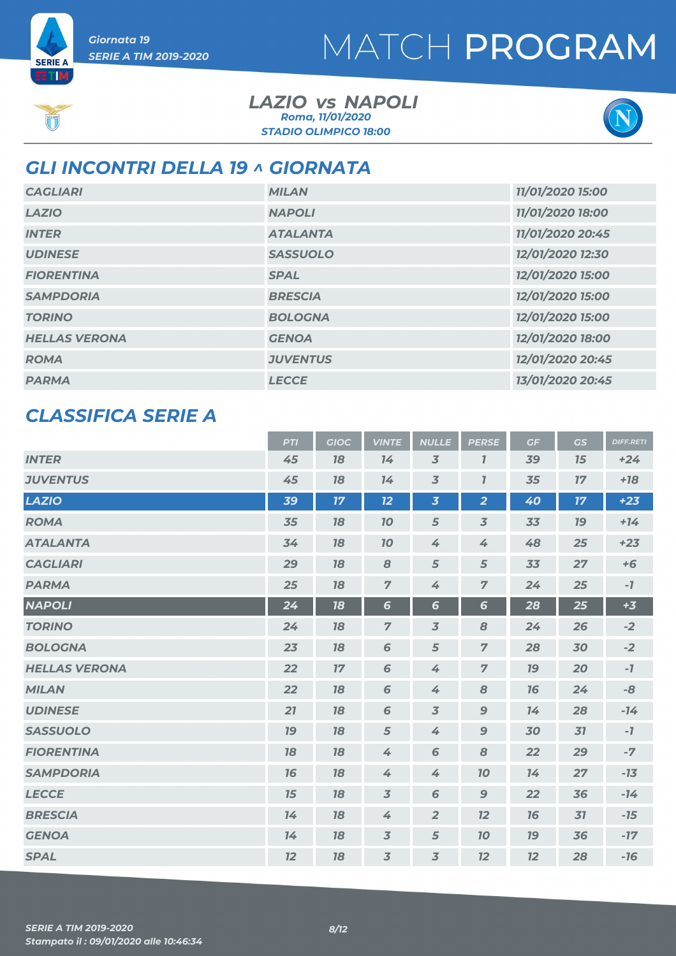**SERIE A ETM** 

#### *LAZIO NAPOLI vs STADIO OLIMPICO 18:00 Roma, 11/01/2020*



### *GLI INCONTRI DELLA 19 ^ GIORNATA*

| <b>CAGLIARI</b>      | <b>MILAN</b>    | 11/01/2020 15:00 |
|----------------------|-----------------|------------------|
|                      |                 |                  |
| <b>LAZIO</b>         | <b>NAPOLI</b>   | 11/01/2020 18:00 |
| <b>INTER</b>         | <b>ATALANTA</b> | 11/01/2020 20:45 |
| <b>UDINESE</b>       | <b>SASSUOLO</b> | 12/01/2020 12:30 |
| <b>FIORENTINA</b>    | <b>SPAL</b>     | 12/01/2020 15:00 |
| <b>SAMPDORIA</b>     | <b>BRESCIA</b>  | 12/01/2020 15:00 |
| <b>TORINO</b>        | <b>BOLOGNA</b>  | 12/01/2020 15:00 |
| <b>HELLAS VERONA</b> | <b>GENOA</b>    | 12/01/2020 18:00 |
| <b>ROMA</b>          | <b>JUVENTUS</b> | 12/01/2020 20:45 |
| <b>PARMA</b>         | <b>LECCE</b>    | 13/01/2020 20:45 |

### *CLASSIFICA SERIE A*

|                      | <b>PTI</b> | <b>GIOC</b> | <b>VINTE</b>   | <b>NULLE</b>            | <b>PERSE</b>             | GF        | <b>GS</b> | <b>DIFF.RETI</b> |
|----------------------|------------|-------------|----------------|-------------------------|--------------------------|-----------|-----------|------------------|
| <b>INTER</b>         | 45         | 78          | 14             | $\overline{3}$          | $\overline{I}$           | 39        | 15        | $+24$            |
| <b>JUVENTUS</b>      | 45         | 78          | 14             | $\overline{3}$          | $\overline{I}$           | 35        | 17        | $+18$            |
| <b>LAZIO</b>         | 39         | 17          | 12             | $\overline{\mathbf{3}}$ | $\overline{2}$           | 40        | 17        | $+23$            |
| <b>ROMA</b>          | 35         | 78          | <b>10</b>      | 5                       | $\overline{\mathcal{Z}}$ | 33        | <b>19</b> | $+14$            |
| <b>ATALANTA</b>      | 34         | 78          | 10             | 4                       | 4                        | 48        | 25        | $+23$            |
| <b>CAGLIARI</b>      | 29         | 78          | 8              | 5                       | 5                        | 33        | 27        | $+6$             |
| <b>PARMA</b>         | 25         | 18          | $\overline{7}$ | 4                       | $\overline{7}$           | 24        | 25        | $-7$             |
| <b>NAPOLI</b>        | 24         | 18          | $6\phantom{1}$ | $6\phantom{1}6$         | $6\phantom{1}$           | 28        | 25        | $+3$             |
| <b>TORINO</b>        | 24         | 18          | $\overline{7}$ | $\overline{3}$          | 8                        | 24        | 26        | $-2$             |
| <b>BOLOGNA</b>       | 23         | 78          | 6              | 5                       | $\overline{7}$           | 28        | 30        | $-2$             |
| <b>HELLAS VERONA</b> | 22         | 17          | 6              | 4                       | $\overline{7}$           | <b>79</b> | 20        | $-7$             |
| <b>MILAN</b>         | 22         | 78          | 6              | 4                       | 8                        | 16        | 24        | -8               |
| <b>UDINESE</b>       | 21         | 18          | 6              | $\overline{3}$          | $\mathbf{9}$             | 14        | 28        | $-14$            |
| <b>SASSUOLO</b>      | 19         | 78          | 5              | 4                       | $\boldsymbol{9}$         | 30        | 31        | $-7$             |
| <b>FIORENTINA</b>    | 78         | 18          | 4              | 6                       | 8                        | 22        | 29        | $-7$             |
| <b>SAMPDORIA</b>     | 16         | 78          | 4              | 4                       | 70                       | 14        | 27        | $-13$            |
| <b>LECCE</b>         | 15         | 78          | $\overline{3}$ | 6                       | $\boldsymbol{9}$         | 22        | 36        | $-14$            |
| <b>BRESCIA</b>       | 14         | 18          | 4              | $\overline{2}$          | 12                       | 16        | 31        | $-15$            |
| <b>GENOA</b>         | 14         | 78          | $\overline{3}$ | 5                       | 10                       | <b>19</b> | 36        | $-17$            |
| <b>SPAL</b>          | 12         | 18          | $\overline{3}$ | $\overline{3}$          | 12                       | 12        | 28        | $-16$            |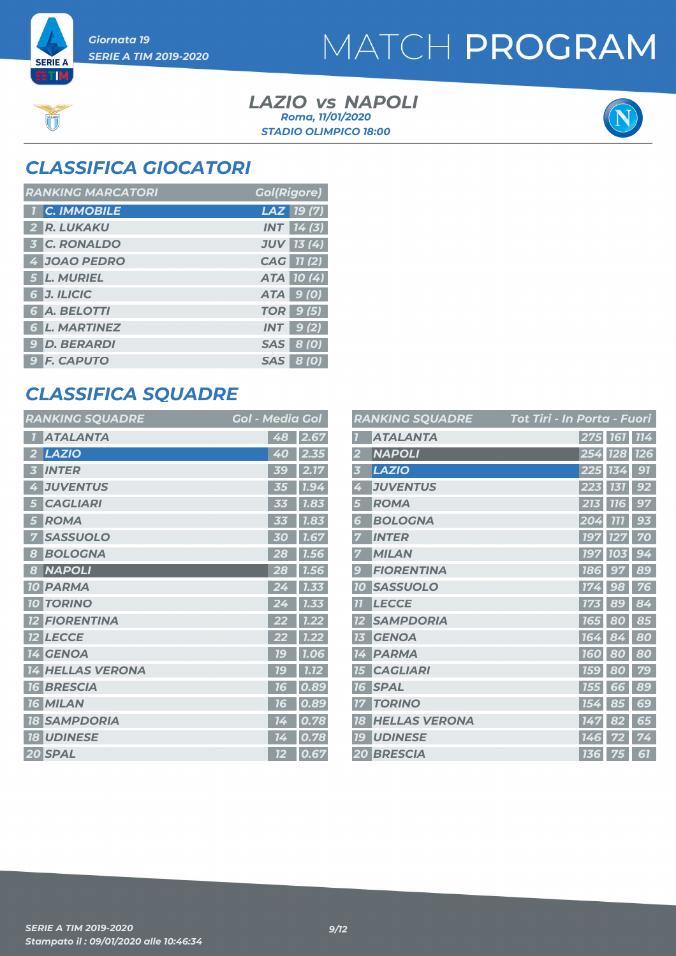**SERIE A ETM** 

### MATCH PROGRAM

*LAZIO NAPOLI vs STADIO OLIMPICO 18:00 Roma, 11/01/2020*



### *CLASSIFICA GIOCATORI*

| <b>RANKING MARCATORI</b> | <b>Gol(Rigore)</b> |
|--------------------------|--------------------|
| <b>1 C. IMMOBILE</b>     | LAZ 19(7)          |
| 2 R. LUKAKU              | <b>INT</b> 14(3)   |
| <b>3 C. RONALDO</b>      | <b>JUV 13 (4)</b>  |
| 4 JOAO PEDRO             | CAG 11 (2)         |
| 5 L. MURIEL              | ATA 10(4)          |
| 6 J. ILICIC              | ATA 9 (0)          |
| <b>6 A. BELOTTI</b>      | <b>TOR</b> 9 (5)   |
| <b>6 L. MARTINEZ</b>     | $INT$ 9(2)         |
| <b>9 D. BERARDI</b>      | SAS 8 (0)          |
| <b>9 F. CAPUTO</b>       | <b>SAS 8 (0)</b>   |

### *CLASSIFICA SQUADRE*

| <b>RANKING SQUADRE</b>        | <b>Gol - Media Gol</b> |      |
|-------------------------------|------------------------|------|
| <b>ATALANTA</b>               | 48                     | 2.67 |
| <b>LAZIO</b><br>2             | 40                     | 2.35 |
| <b>INTER</b><br>i3            | 5G                     | 2.1  |
| <b>JUVENTUS</b><br>4          | 35                     | 1.94 |
| <b>CAGLIARI</b><br>5          | 33                     | 1.83 |
| <b>ROMA</b><br>5              |                        | 1.83 |
| <b>SASSUOLO</b><br>7          | 30                     | 1.67 |
| <b>BOLOGNA</b><br>8           | 28                     | 1.56 |
| <b>NAPOLI</b><br>8            | 28                     | 1.56 |
| <b>PARMA</b><br><b>10</b>     | 24                     | 1.33 |
| <b>TORINO</b><br>$10-$        |                        | 1.33 |
| <b>FIORENTINA</b>             |                        | 1.22 |
| <b>LECCE</b><br><b>12</b>     |                        | 1.22 |
| <b>GENOA</b><br>14            | <u>16</u>              | 1.06 |
| <b>HELLAS VERONA</b><br>14    | 1C                     | 7.72 |
| <b>BRESCIA</b><br><b>16</b>   | 76                     | 0.89 |
| <b>MILAN</b><br>76            | 1 G                    | 0.89 |
| <b>SAMPDORIA</b><br><b>18</b> | 14                     | 0.78 |
| <b>UDINESE</b><br><b>18</b>   | 14                     | 0.78 |
| 20 SPAL                       | 12                     | 0.67 |

|                          | <b>RANKING SQUADRE</b> | <u> Tot Tiri - In Porta - Fuori</u> |
|--------------------------|------------------------|-------------------------------------|
|                          | <b>ATALANTA</b>        | 275 161<br>114                      |
| 2                        | <b>NAPOLI</b>          | <b>126</b><br>254<br><b>128</b>     |
| 3                        | <b>LAZIO</b>           | 91<br>225<br>134                    |
| 4                        | <b>JUVENTUS</b>        | 92<br>223<br>131                    |
| 5                        | <b>ROMA</b>            | 213<br><b>116</b><br>97             |
| 6                        | <b>BOLOGNA</b>         | 1111<br>93<br>204                   |
|                          | <b>INTER</b>           | 70<br>197                           |
|                          | <b>MILAN</b>           | <b>197</b><br>94<br><b>103</b>      |
| $\overline{\mathcal{L}}$ | <b>FIORENTINA</b>      | 89<br><b>186</b><br>97              |
| 10                       | <b>SASSUOLO</b>        | 98<br>76<br>17                      |
| 11                       | <b>LECCE</b>           | 84<br>89<br>173                     |
|                          | <b>SAMPDORIA</b>       | 85<br>80<br>165                     |
| 13                       | <b>GENOA</b>           | 80<br>164<br>84                     |
| 14                       | <b>PARMA</b>           | 80<br>80<br><b>160</b>              |
| $\overline{L}$           | <b>CAGLIARI</b>        | 79<br><b>159</b><br>80              |
| 16                       | <b>SPAL</b>            | 89<br>66<br>155                     |
| 17                       | <b>TORINO</b>          | 69<br>154<br>85                     |
| 18                       | <b>HELLAS VERONA</b>   | 82<br>65<br>147                     |
| 79                       | <b>UDINESE</b>         | 74<br>14<br>6                       |
|                          | <b>20 BRESCIA</b>      | 61<br><b>136</b><br>75              |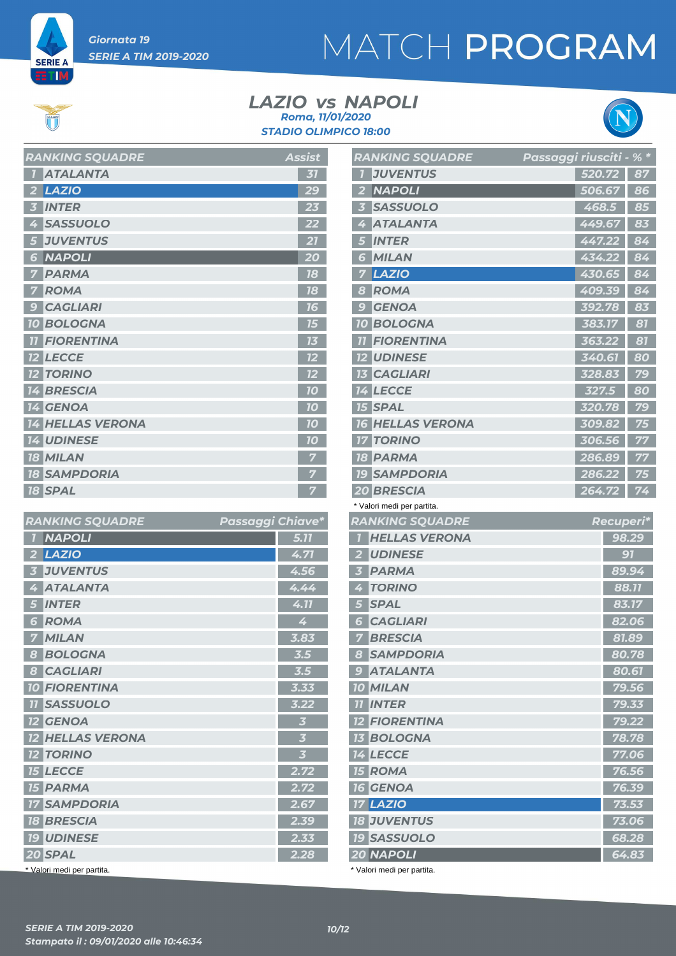

**ETIM** 

# MATCH PROGRAM

#### *LAZIO NAPOLI vs STADIO OLIMPICO 18:00 Roma, 11/01/2020*



|                | <b>KANNINU JŲUADRE</b>  | ASSISL         |
|----------------|-------------------------|----------------|
| $\blacksquare$ | <b>ATALANTA</b>         | 31             |
|                | $2$ LAZIO               | 29             |
| $\overline{3}$ | <b>INTER</b>            | 23             |
|                | 4 SASSUOLO              | 22             |
|                | <b>5 JUVENTUS</b>       | 21             |
|                | <b>6 NAPOLI</b>         | 20             |
| 7              | <b>PARMA</b>            | 18             |
|                | <b>7 ROMA</b>           | 18             |
| -9             | <b>CAGLIARI</b>         | 16             |
|                | <b>10 BOLOGNA</b>       | 15             |
|                | <b>11 FIORENTINA</b>    | 13             |
|                | <b>12 LECCE</b>         | 12             |
|                | <b>12 TORINO</b>        | 12             |
|                | <b>14 BRESCIA</b>       | 70             |
|                | 14 GENOA                | 70             |
|                | <b>14 HELLAS VERONA</b> | 10             |
|                | <b>14 UDINESE</b>       | 10             |
|                | <b>18 MILAN</b>         | 7              |
|                | <b>18 SAMPDORIA</b>     | 7              |
|                | <b>18 SPAL</b>          | $\overline{7}$ |

*RANKING SQUADRE Assist*

| <b>RANKING SQUADRE</b>                     | Passaggi Chiave*        |
|--------------------------------------------|-------------------------|
| <b>NAPOLI</b><br>$\overline{1}$            | 5.77                    |
| LAZIO<br>$\overline{2}$                    | 4.71                    |
| <b>JUVENTUS</b><br>$\overline{\mathbf{3}}$ | 4.56                    |
| <b>ATALANTA</b><br>4                       | 4.44                    |
| <b>INTER</b><br>5                          | 4.11                    |
| <b>ROMA</b><br>6                           | 4                       |
| <b>MILAN</b>                               | 3.83                    |
| <b>BOLOGNA</b><br>8                        | $\overline{3.5}$        |
| <b>CAGLIARI</b><br>$\boldsymbol{s}$        | 3.5                     |
| <b>10 FIORENTINA</b>                       | 3.33                    |
| <b>11 SASSUOLO</b>                         | 3.22                    |
| <b>12 GENOA</b>                            | $\overline{\mathbf{3}}$ |
| <b>12 HELLAS VERONA</b>                    | $\overline{\mathbf{3}}$ |
| <b>12 TORINO</b>                           | $\overline{\mathbf{3}}$ |
| <b>15 LECCE</b>                            | 2.72                    |
| <b>15 PARMA</b>                            | 2.72                    |
| <b>17 SAMPDORIA</b>                        | 2.67                    |
| <b>18 BRESCIA</b>                          | 2.39                    |
| <b>19 UDINESE</b>                          | 2.33                    |
| 20 SPAL                                    | 2.28                    |
| * Valori medi per partita.                 |                         |

|                | <b>RANKING SQUADRE</b>          | Passaggi riusciti - % * |        |                 |
|----------------|---------------------------------|-------------------------|--------|-----------------|
|                | <b>JUVENTUS</b>                 |                         | 520.72 | 87              |
| 2              | <b>NAPOLI</b>                   |                         | 506.67 | 86              |
|                | <b>SASSUOLO</b>                 |                         | 468.5  | 85              |
| 4              | <b>ATALANTA</b>                 |                         | 449.67 | 83              |
| 5              | <b>INTER</b>                    |                         | 447.22 | 84              |
| 6              | <b>MILAN</b>                    |                         | 434.22 | 84              |
| 7              | <b>LAZIO</b>                    |                         | 430.65 | $\overline{84}$ |
| 8              | ROMA                            |                         | 409.39 | 84              |
| $\overline{9}$ | <b>GENOA</b>                    |                         | 392.78 | 83              |
|                | <b>10 BOLOGNA</b>               |                         | 383.17 | 81              |
| 77             | <b>FIORENTINA</b>               |                         | 363.22 | 81              |
|                | <b>12 UDINESE</b>               |                         | 340.61 | 80              |
|                | <b>13 CAGLIARI</b>              |                         | 328.83 | 79              |
|                | <b>14 LECCE</b>                 |                         | 327.5  | 80              |
|                | <b>15 SPAL</b>                  |                         | 320.78 | 79              |
|                | <b>16 HELLAS VERONA</b>         |                         | 309.82 | 75              |
|                | <b>17 TORINO</b>                |                         | 306.56 | 77              |
|                | <b>18 PARMA</b>                 |                         | 286.89 | 77              |
|                | <b>19 SAMPDORIA</b>             |                         | 286.22 | 75              |
|                | <b>20 BRESCIA</b>               |                         | 264.72 | 74              |
|                | * Valori medi per partita.      |                         |        |                 |
|                | <b>RANKING SQUADRE</b>          |                         |        | Recuperi*       |
| 7              | <b>HELLAS VERONA</b>            |                         |        | 98.29           |
| 2 <sup>1</sup> | <b>UDINESE</b>                  |                         |        | 91              |
| 3 <sup>7</sup> | <b>PARMA</b>                    |                         |        | 89.94           |
| $\overline{4}$ | <b>TORINO</b>                   |                         |        | 88.11           |
| 5 <sub>1</sub> | <b>SPAL</b>                     |                         |        | 83.17           |
|                | <b>6 CAGLIARI</b>               |                         |        | 82.06           |
| $\overline{z}$ | <b>BRESCIA</b>                  |                         |        | 81.89           |
|                | 8 SAMPDORIA                     |                         |        | 80.78           |
|                | <b>9 ATALANTA</b>               |                         |        | 80.61           |
|                | <b>10 MILAN</b>                 |                         |        | 79.56           |
|                | <b>11 INTER</b>                 |                         |        | 79.33           |
|                | <b>12 FIORENTINA</b>            |                         |        | 79.22           |
|                |                                 |                         |        |                 |
|                | <b>13 BOLOGNA</b>               |                         |        | 78.78           |
|                | <b>14 LECCE</b>                 |                         |        | 77.06           |
|                | <b>15 ROMA</b>                  |                         |        | 76.56           |
|                | <b>16 GENOA</b>                 |                         |        | 76.39           |
|                | <b>17 LAZIO</b>                 |                         |        | 73.53           |
|                | <b>18 JUVENTUS</b>              |                         |        | 73.06           |
|                | <b>19 SASSUOLO</b><br>20 NAPOLI |                         |        | 68.28<br>64.83  |

\* Valori medi per partita.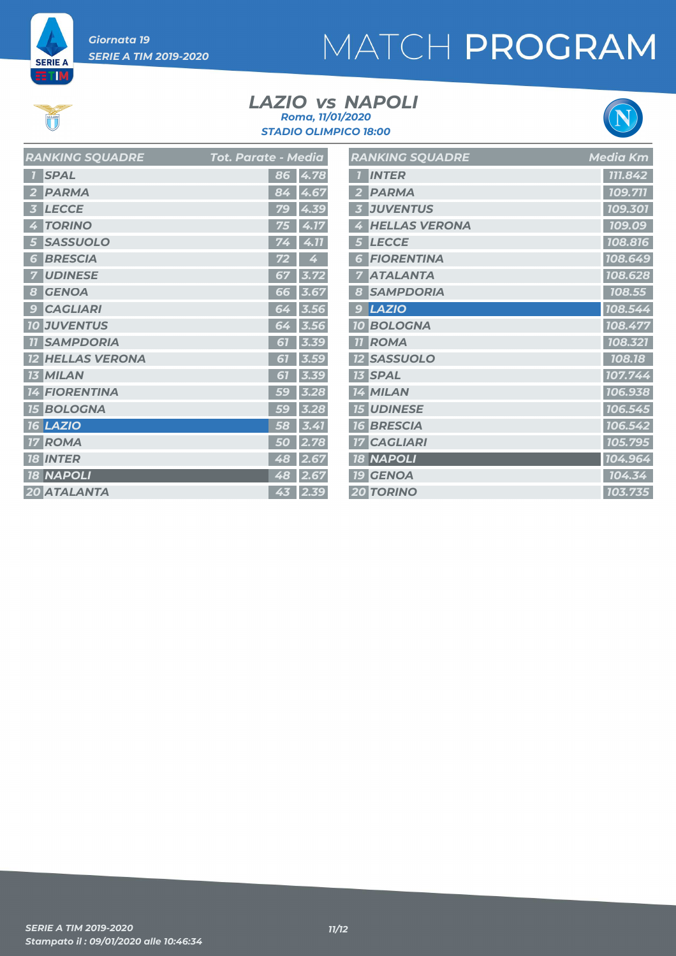

**ET M** 

 $\sum_{i=1}^{n}$ 

# MATCH PROGRAM

#### *LAZIO NAPOLI vs STADIO OLIMPICO 18:00 Roma, 11/01/2020*



| <b>RANKING SQUADRE</b>  | <b>Tot. Parate - Media</b> | <b>RANKING SQUADRE</b> | <b>Media Km</b> |
|-------------------------|----------------------------|------------------------|-----------------|
| <b>1</b> SPAL           | 86 4.78                    | <b>INTER</b>           | 111.842         |
| 2 PARMA                 | 84 4.67                    | 2 PARMA                | 109.711         |
| 3 LECCE                 | 79 4.39                    | <b>3 JUVENTUS</b>      | 109.301         |
| 4 TORINO                | 75 4.17                    | 4 HELLAS VERONA        | 109.09          |
| 5 SASSUOLO              | $74$ 4.11                  | 5 LECCE                | 108.816         |
| <b>6 BRESCIA</b>        | $\overline{4}$<br>72       | <b>6 FIORENTINA</b>    | 108.649         |
| <b>7 UDINESE</b>        | 67 3.72                    | <b>7 ATALANTA</b>      | 108.628         |
| 8 GENOA                 | 66 3.67                    | 8 SAMPDORIA            | 108.55          |
| <b>9 CAGLIARI</b>       | 64 3.56                    | 9 LAZIO                | 108.544         |
| <b>10 JUVENTUS</b>      | $64$ 3.56                  | <b>10 BOLOGNA</b>      | 108.477         |
| <b>11 SAMPDORIA</b>     | $61$ 3.39                  | <b>11 ROMA</b>         | 108.321         |
| <b>12 HELLAS VERONA</b> | $\vert 3.59$<br>61         | <b>12 SASSUOLO</b>     | 108.18          |
| <b>13 MILAN</b>         | 61 3.39                    | <b>13 SPAL</b>         | 107.744         |
| <b>14 FIORENTINA</b>    | $59 \,   \, 3.28$          | 14 MILAN               | 106.938         |
| <b>15 BOLOGNA</b>       | $59 \,   \, 3.28$          | <b>15 UDINESE</b>      | 106.545         |
| <b>16 LAZIO</b>         | 3.41<br>58                 | <b>16 BRESCIA</b>      | 106.542         |
| <b>17 ROMA</b>          | $50$ 2.78                  | <b>17 CAGLIARI</b>     | 105.795         |
| <b>18 INTER</b>         | 48 2.67                    | <b>18 NAPOLI</b>       | 104.964         |
| <b>18 NAPOLI</b>        | 48 2.67                    | <b>19 GENOA</b>        | 104.34          |
| 20 ATALANTA             | $43$ 2.39                  | <b>20 TORINO</b>       | 103.735         |